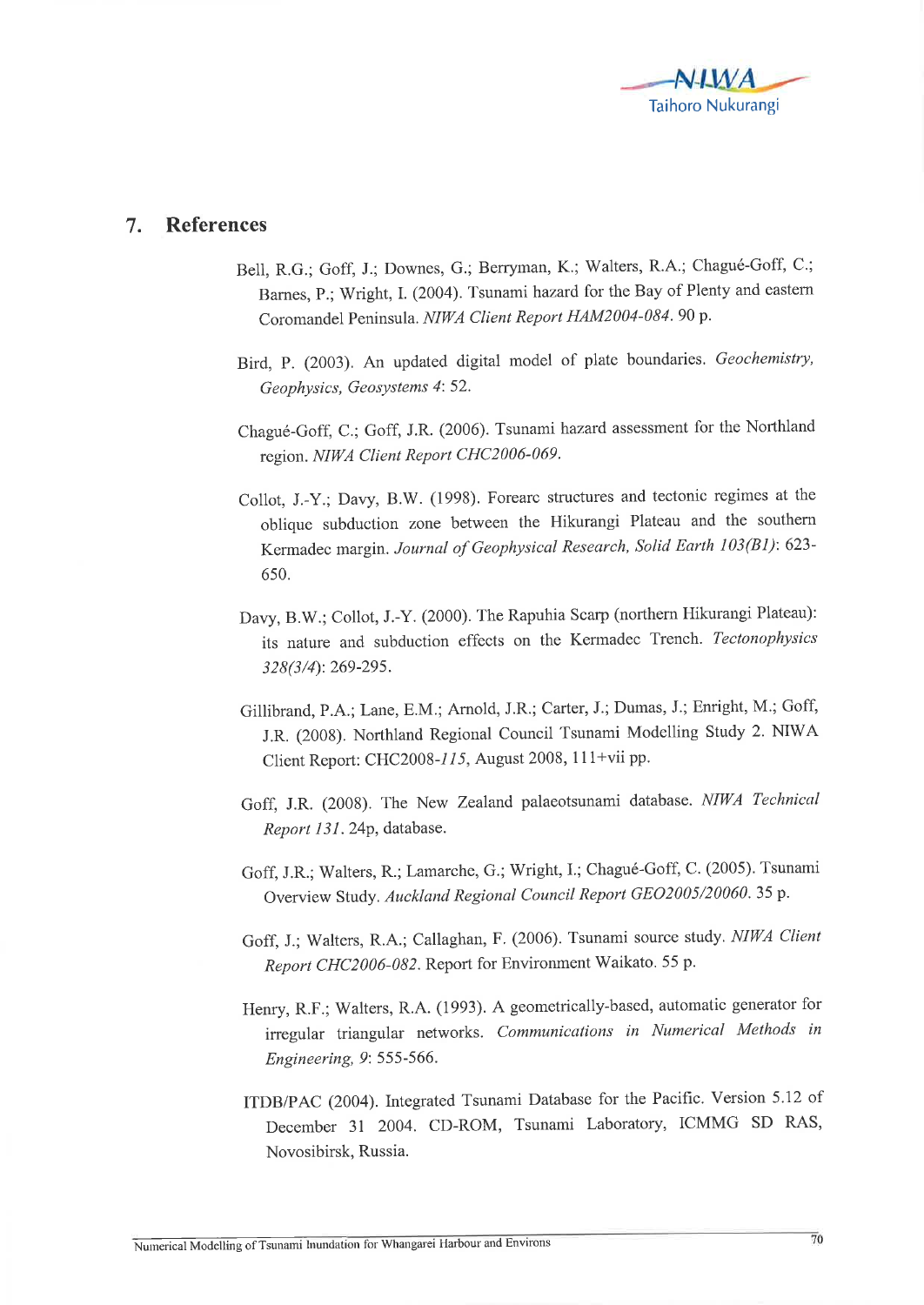

## 7. References

- Bell, R.G.; Goff, J.; Downes, G.; Berryman, K.; Walters, R.A.; Chagué-Goff, C.; Barnes, P.; Wright, I. (2004). Tsunami hazard for the Bay of Plenty and eastern Coromandel Peninsula. NIWA Client Report HAM2004-084. 90 p.
- Bird, P. (2003). An updated digital model of plate boundaries. Geochemistry, Geophysics, Geosystems 4: 52.
- Chagué-Goff, C.; Goff, J.R. (2006). Tsunami hazatd assessment for the Northland region. NIWA Client Report CHC2006-069.
- Collot, J.-Y.; Davy, B.W. (1993). Forearc structures and tectonic regimes at the oblique subduction zone between the Hikurangi Plateau and the southern Kermadec margin. Journal of Geophysical Research, Solid Earth 103(B1): 623-6s0.
- Davy, B.W.; Collot, J.-Y. (2000). The Rapuhia Scarp (northern Hikurangi Plateau): its nature and subduction effects on the Kermadec Trench. Tectonophysics 328(3/4): 269-29s.
- Gillibrand, P.A.; Lane, E.M.; Arnold, J.R.; Carter, J.; Dumas, J.; Enright, M.; Goff, J.R. (2003). Northland Regional Council Tsunami Modelling Study 2. NIWA Client Report: CHC200B-115, August 2008, 111+vii pp.
- Goff, J.R. (2008). The New Zealand palaeotsunami database. NIWA Technical Report 131. 24p, database.
- Goff, J.R.; Walters, R.; Lamarche, G.; Wright, I.; Chagué-Goff, C. (2005). Tsunami Overview Study. Auckland Regional Council Report GEO2005/20060.35 p.
- Goff, J.; Walters, R.A.; Callaghan, F. (2006). Tsunami source study. NIWA Client Report CHC2006-082. Report for Environment Waikato. 55 p.
- Henry, R.F.; Walters, R.A. (1993). A geometrically-based, automatic generator for irregular triangular networks. Communications in Numerical Methods in Engineering, 9: 555-566.
- ITDB/PAC (2004). Integrated Tsunami Database for the Pacific. Version 5.12 of December 31 2004. CD-ROM, Tsunami Laboratory, ICMMG SD RAS, Novosibirsk, Russia.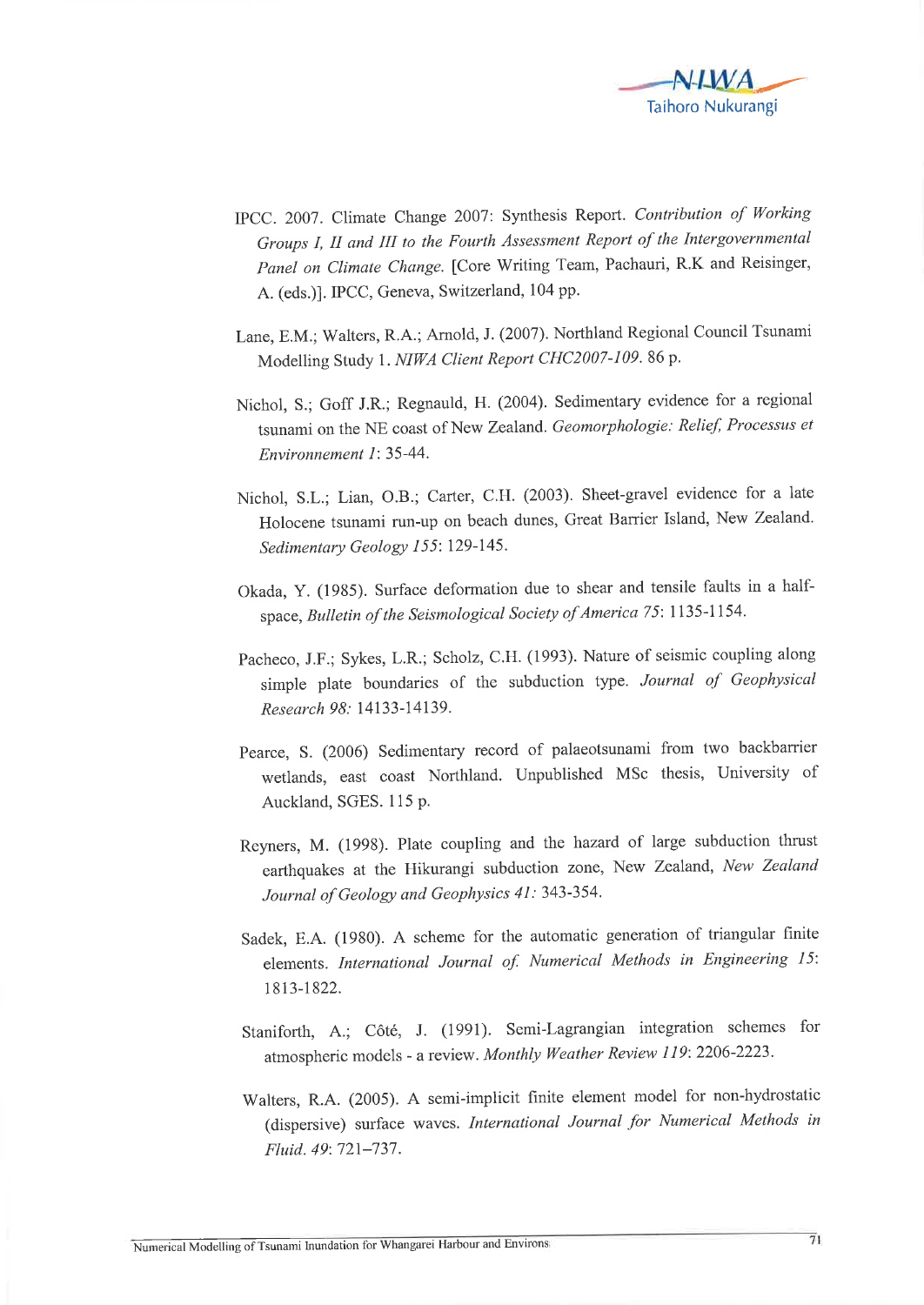

- IPCC. 2007. Climate Change 2007: Synthesis Report. Contribution of Working Groups I, II and III to the Fourth Assessment Report of the Intergovernmental Panel on Climate Change. [Core Writing Team, Pachauri, R.K and Reisinger, A. (eds.)1. IPCC, Geneva, Switzerland, 104 pp.
- Lane, E.M.; Walters, R.A.; Arnold,J. (2007). Northland Regional council Tsunami Modelling Study 1. NIWA Client Report CHC2007-109. 86 p.
- Nichol, S.; Goff J.R.; Regnauld, H. (2004). Sedimentary evidence for a regional tsunami on the NE coast of New Zealand. Geomorphologie: Relief, Processus et Environnement 1: 35-44.
- Nichol, s.L.; Lian, o.B.; carter, c.H. (2003). sheet-gravel evidence for a late Holocene tsunami run-up on beach dunes, Great Barrier Island, New Zealand. Sedimentary Geology 155: 129-145.
- Okada, Y. (1935). Surface deformation due to shear and tensile faults in a halfspace, Bulletin of the Seismological Society of America 75: 1135-1154.
- Pacheco, J.F.; Sykes, L.R.; Scholz, C.H. (1993). Nature of seismic coupling along simple plate boundaries of the subduction type. Journal of Geophysical Research 98: 14133-14139.
- pearce, S. (2006) Sedimentary record of palaeotsunami from two backbarrier wetlands, east coast Northland. Unpublished MSc thesis, University of Auckland, SGES. 115 P.
- Reyners, M. (1998). Plate coupling and the hazard of large subduction thrust earthquakes at the Hikurangi subduction zone, New Zealand, New Zealand Journal of Geology and Geophysics 41: 343-354.
- Sadek, E.A. (1980). A scheme for the automatic generation of triangular finite elements. International Journal of. Numerical Methods in Engineering 15: r8l3-1822.
- Staniforth, A.; côté, J. (1991). Semi-Lagrangian integration schemes for atmospheric models - a review. Monthly Weather Review 119: 2206-2223.
- Walters, R.A. (2005). A semi-implicit finite element model for non-hydrostatic (dispersive) surface waves. International Journal for Numerical Methods in Fluid. 49: 721-737.